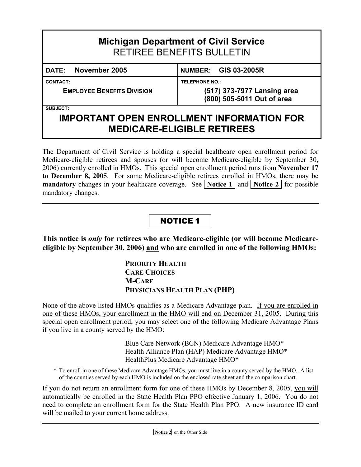| <b>Michigan Department of Civil Service</b><br><b>RETIREE BENEFITS BULLETIN</b> |                                                  |  |  |  |  |  |  |  |  |  |  |
|---------------------------------------------------------------------------------|--------------------------------------------------|--|--|--|--|--|--|--|--|--|--|
| November 2005<br><b>DATE:</b>                                                   | <b>NUMBER: GIS 03-2005R</b>                      |  |  |  |  |  |  |  |  |  |  |
| <b>CONTACT:</b>                                                                 | <b>TELEPHONE NO.:</b>                            |  |  |  |  |  |  |  |  |  |  |
| <b>EMPLOYEE BENEFITS DIVISION</b>                                               | (517) 373-7977 Lansing area                      |  |  |  |  |  |  |  |  |  |  |
|                                                                                 | (800) 505-5011 Out of area                       |  |  |  |  |  |  |  |  |  |  |
| <b>SUBJECT:</b>                                                                 |                                                  |  |  |  |  |  |  |  |  |  |  |
|                                                                                 | <b>IMPORTANT OPEN ENROLLMENT INFORMATION FOR</b> |  |  |  |  |  |  |  |  |  |  |

The Department of Civil Service is holding a special healthcare open enrollment period for Medicare-eligible retirees and spouses (or will become Medicare-eligible by September 30, 2006) currently enrolled in HMOs. This special open enrollment period runs from **November 17 to December 8, 2005**. For some Medicare-eligible retirees enrolled in HMOs, there may be **mandatory** changes in your healthcare coverage. See **Notice 1** and **[Notice 2](#page-1-0)** for possible mandatory changes.

**MEDICARE-ELIGIBLE RETIREES** 

### NOTICE 1

**This notice is** *only* **for retirees who are Medicare-eligible (or will become Medicareeligible by September 30, 2006) and who are enrolled in one of the following HMOs:** 

> **PRIORITY HEALTH CARE CHOICES M-CARE PHYSICIANS HEALTH PLAN (PHP)**

None of the above listed HMOs qualifies as a Medicare Advantage plan. If you are enrolled in one of these HMOs, your enrollment in the HMO will end on December 31, 2005. During this special open enrollment period, you may select one of the following Medicare Advantage Plans if you live in a county served by the HMO:

> Blue Care Network (BCN) Medicare Advantage HMO\* Health Alliance Plan (HAP) Medicare Advantage HMO\* HealthPlus Medicare Advantage HMO\*

\* To enroll in one of these Medicare Advantage HMOs, you must live in a county served by the HMO. A list of the counties served by each HMO is included on the enclosed rate sheet and the comparison chart.

If you do not return an enrollment form for one of these HMOs by December 8, 2005, you will automatically be enrolled in the State Health Plan PPO effective January 1, 2006. You do not need to complete an enrollment form for the State Health Plan PPO. A new insurance ID card will be mailed to your current home address.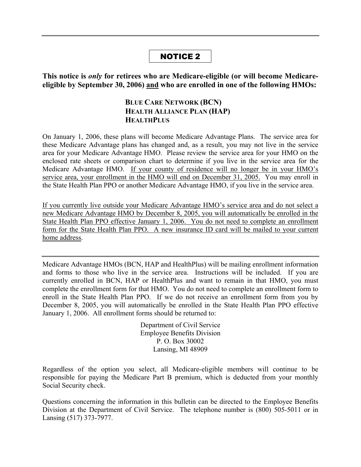#### NOTICE 2

<span id="page-1-0"></span>**This notice is** *only* **for retirees who are Medicare-eligible (or will become Medicareeligible by September 30, 2006) and who are enrolled in one of the following HMOs:** 

#### **BLUE CARE NETWORK (BCN) HEALTH ALLIANCE PLAN (HAP) HEALTHPLUS**

On January 1, 2006, these plans will become Medicare Advantage Plans. The service area for these Medicare Advantage plans has changed and, as a result, you may not live in the service area for your Medicare Advantage HMO. Please review the service area for your HMO on the enclosed rate sheets or comparison chart to determine if you live in the service area for the Medicare Advantage HMO. If your county of residence will no longer be in your HMO's service area, your enrollment in the HMO will end on December 31, 2005. You may enroll in the State Health Plan PPO or another Medicare Advantage HMO, if you live in the service area.

If you currently live outside your Medicare Advantage HMO's service area and do not select a new Medicare Advantage HMO by December 8, 2005, you will automatically be enrolled in the State Health Plan PPO effective January 1, 2006. You do not need to complete an enrollment form for the State Health Plan PPO. A new insurance ID card will be mailed to your current home address.

Medicare Advantage HMOs (BCN, HAP and HealthPlus) will be mailing enrollment information and forms to those who live in the service area. Instructions will be included. If you are currently enrolled in BCN, HAP or HealthPlus and want to remain in that HMO, you must complete the enrollment form for that HMO. You do not need to complete an enrollment form to enroll in the State Health Plan PPO. If we do not receive an enrollment form from you by December 8, 2005, you will automatically be enrolled in the State Health Plan PPO effective January 1, 2006. All enrollment forms should be returned to:

> Department of Civil Service Employee Benefits Division P. O. Box 30002 Lansing, MI 48909

Regardless of the option you select, all Medicare-eligible members will continue to be responsible for paying the Medicare Part B premium, which is deducted from your monthly Social Security check.

Questions concerning the information in this bulletin can be directed to the Employee Benefits Division at the Department of Civil Service. The telephone number is (800) 505-5011 or in Lansing (517) 373-7977.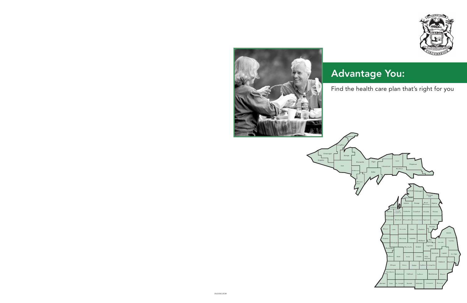



# Advantage You:

## Find the health care plan that's right for you

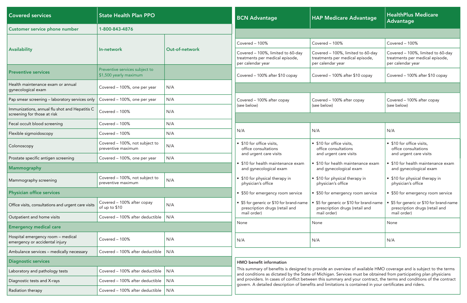| <b>Covered services</b>                                                       | <b>State Health Plan PPO</b>                             |                       | <b>BCN Advantage</b>                                                                      | <b>HAP Medicare Advantage</b>                                                                                                                                                                                                          | <b>HealthPlus Medicare</b><br>Advantage                                                   |  |  |
|-------------------------------------------------------------------------------|----------------------------------------------------------|-----------------------|-------------------------------------------------------------------------------------------|----------------------------------------------------------------------------------------------------------------------------------------------------------------------------------------------------------------------------------------|-------------------------------------------------------------------------------------------|--|--|
| Customer service phone number                                                 | 1-800-843-4876                                           |                       |                                                                                           |                                                                                                                                                                                                                                        |                                                                                           |  |  |
|                                                                               |                                                          |                       | Covered - 100%                                                                            | Covered - 100%                                                                                                                                                                                                                         | Covered - 100%                                                                            |  |  |
| <b>Availability</b>                                                           | In-network                                               | <b>Out-of-network</b> | Covered - 100%, limited to 60-day<br>treatments per medical episode,<br>per calendar year | Covered - 100%, limited to 60-day<br>treatments per medical episode,<br>per calendar year                                                                                                                                              | Covered - 100%, limited to 60-day<br>treatments per medical episode,<br>per calendar year |  |  |
| <b>Preventive services</b>                                                    | Preventive services subject to<br>\$1,500 yearly maximum |                       | Covered - 100% after \$10 copay                                                           | Covered - 100% after \$10 copay                                                                                                                                                                                                        | Covered - 100% after \$10 copay                                                           |  |  |
| Health maintenance exam or annual<br>gynecological exam                       | Covered - 100%, one per year                             | N/A                   |                                                                                           |                                                                                                                                                                                                                                        |                                                                                           |  |  |
| Pap smear screening - laboratory services only                                | Covered - 100%, one per year                             | N/A                   | Covered - 100% after copay                                                                | Covered - 100% after copay                                                                                                                                                                                                             | Covered - 100% after copay                                                                |  |  |
| Immunizations, annual flu shot and Hepatitis C<br>screening for those at risk | Covered - 100%                                           | N/A                   | (see below)                                                                               | (see below)                                                                                                                                                                                                                            | (see below)                                                                               |  |  |
| Fecal occult blood screening                                                  | Covered - 100%                                           | N/A                   |                                                                                           |                                                                                                                                                                                                                                        |                                                                                           |  |  |
| Flexible sigmoidoscopy                                                        | Covered - 100%                                           | N/A                   | N/A                                                                                       | N/A                                                                                                                                                                                                                                    | N/A                                                                                       |  |  |
| Colonoscopy                                                                   | Covered - 100%, not subject to<br>preventive maximum     | N/A                   | • \$10 for office visits,<br>office consultations                                         | • \$10 for office visits,<br>office consultations                                                                                                                                                                                      | • \$10 for office visits,<br>office consultations                                         |  |  |
| Prostate specific antigen screening                                           | Covered - 100%, one per year                             | N/A                   | and urgent care visits                                                                    | and urgent care visits                                                                                                                                                                                                                 | and urgent care visits                                                                    |  |  |
| <b>Mammography</b>                                                            |                                                          |                       | • \$10 for health maintenance exam<br>and gynecological exam                              | • \$10 for health maintenance exam<br>and gynecological exam                                                                                                                                                                           | • \$10 for health maintenance exam<br>and gynecological exam                              |  |  |
| Mammography screening                                                         | Covered - 100%, not subject to<br>preventive maximum     | N/A                   | • \$10 for physical therapy in<br>physician's office                                      | • \$10 for physical therapy in<br>physician's office                                                                                                                                                                                   | • \$10 for physical therapy in<br>physician's office                                      |  |  |
| <b>Physician office services</b>                                              |                                                          |                       | • \$50 for emergency room service                                                         | • \$50 for emergency room service                                                                                                                                                                                                      | • \$50 for emergency room service                                                         |  |  |
| Office visits, consultations and urgent care visits                           | Covered - 100% after copay<br>of up to \$10              | N/A                   | • \$5 for generic or \$10 for brand-name<br>prescription drugs (retail and                | • \$5 for generic or \$10 for brand-name<br>prescription drugs (retail and                                                                                                                                                             | • \$5 for generic or \$10 for brand-name<br>prescription drugs (retail and                |  |  |
| Outpatient and home visits                                                    | Covered - 100% after deductible                          | N/A                   | mail order)                                                                               | mail order)                                                                                                                                                                                                                            | mail order)                                                                               |  |  |
| <b>Emergency medical care</b>                                                 |                                                          |                       | None                                                                                      | None                                                                                                                                                                                                                                   | None                                                                                      |  |  |
| Hospital emergency room - medical<br>emergency or accidental injury           | Covered - 100%                                           | N/A                   | N/A                                                                                       | N/A                                                                                                                                                                                                                                    | N/A                                                                                       |  |  |
| Ambulance services - medically necessary                                      | Covered – 100% after deductible $ N/A $                  |                       |                                                                                           |                                                                                                                                                                                                                                        |                                                                                           |  |  |
| <b>Diagnostic services</b>                                                    |                                                          |                       | <b>HMO</b> benefit information                                                            |                                                                                                                                                                                                                                        |                                                                                           |  |  |
| Laboratory and pathology tests                                                | Covered - 100% after deductible                          | N/A                   |                                                                                           | This summary of benefits is designed to provide an overview of available HMO coverage and is subject to the terms<br>and conditions as dictated by the State of Michigan. Services must be obtained from participating plan physicians |                                                                                           |  |  |
| Diagnostic tests and X-rays                                                   | Covered - 100% after deductible                          | N/A                   |                                                                                           | and providers. In cases of conflict between this summary and your contract, the terms and conditions of the contract<br>govern. A detailed description of benefits and limitations is contained in your certificates and riders.       |                                                                                           |  |  |
| Radiation therapy                                                             | Covered – 100% after deductible $  N/A$                  |                       |                                                                                           |                                                                                                                                                                                                                                        |                                                                                           |  |  |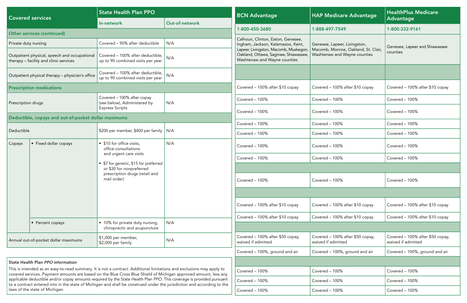| <b>Covered services</b>                                                                                                                                                                                                                  |                                                                                        | <b>State Health Plan PPO</b>                                                                                                                                                                                                                   |                | <b>BCN Advantage</b>                                                                                           | <b>HAP Medicare Advantage</b>                                       | <b>HealthPlus Medicare</b>                             |  |  |
|------------------------------------------------------------------------------------------------------------------------------------------------------------------------------------------------------------------------------------------|----------------------------------------------------------------------------------------|------------------------------------------------------------------------------------------------------------------------------------------------------------------------------------------------------------------------------------------------|----------------|----------------------------------------------------------------------------------------------------------------|---------------------------------------------------------------------|--------------------------------------------------------|--|--|
|                                                                                                                                                                                                                                          |                                                                                        | In-network                                                                                                                                                                                                                                     | Out-of-network |                                                                                                                |                                                                     | <b>Advantage</b>                                       |  |  |
|                                                                                                                                                                                                                                          | Other services (continued)                                                             |                                                                                                                                                                                                                                                |                | 1-800-450-3680                                                                                                 | 1-888-497-7549                                                      | 1-800-332-9161                                         |  |  |
| Private duty nursing                                                                                                                                                                                                                     |                                                                                        | Covered - 90% after deductible                                                                                                                                                                                                                 | N/A            | Calhoun, Clinton, Eaton, Genesee,<br>Ingham, Jackson, Kalamazoo, Kent,                                         | Genesee, Lapeer, Livingston,                                        | Genesee, Lapeer and Shiawassee                         |  |  |
|                                                                                                                                                                                                                                          | Outpatient physical, speech and occupational<br>therapy - facility and clinic services | Covered - 100% after deductible,<br>up to 90 combined visits per year                                                                                                                                                                          | N/A            | Lapeer, Livingston, Macomb, Muskegon,<br>Oakland, Ottawa, Saginaw, Shiawassee,<br>Washtenaw and Wayne counties | Macomb, Monroe, Oakland, St. Clair,<br>Washtenaw and Wayne counties | counties                                               |  |  |
|                                                                                                                                                                                                                                          | Outpatient physical therapy - physician's office                                       | Covered - 100% after deductible, $ N/A $<br>up to 90 combined visits per year                                                                                                                                                                  |                |                                                                                                                |                                                                     |                                                        |  |  |
|                                                                                                                                                                                                                                          | <b>Prescription medications</b>                                                        |                                                                                                                                                                                                                                                |                | Covered - 100% after \$10 copay                                                                                | Covered - 100% after \$10 copay                                     | Covered - 100% after \$10 copay                        |  |  |
| Prescription drugs                                                                                                                                                                                                                       |                                                                                        | Covered - 100% after copay<br>(see below), Administered by                                                                                                                                                                                     | N/A            | Covered - 100%                                                                                                 | Covered - 100%                                                      | Covered - 100%                                         |  |  |
|                                                                                                                                                                                                                                          |                                                                                        | <b>Express Scripts</b>                                                                                                                                                                                                                         |                | Covered - 100%                                                                                                 | Covered - 100%                                                      | Covered - 100%                                         |  |  |
|                                                                                                                                                                                                                                          | Deductible, copays and out-of-pocket dollar maximums                                   |                                                                                                                                                                                                                                                |                | Covered - 100%                                                                                                 | Covered - 100%                                                      | Covered - 100%                                         |  |  |
| Deductible                                                                                                                                                                                                                               |                                                                                        | \$200 per member, \$400 per family   N/A                                                                                                                                                                                                       |                | Covered - 100%                                                                                                 | Covered - 100%                                                      | Covered - 100%                                         |  |  |
| Copays                                                                                                                                                                                                                                   | • Fixed dollar copays                                                                  | • \$10 for office visits,<br>office consultations                                                                                                                                                                                              | N/A            | Covered - 100%                                                                                                 | Covered - 100%                                                      | Covered - 100%                                         |  |  |
|                                                                                                                                                                                                                                          |                                                                                        | and urgent care visits                                                                                                                                                                                                                         |                | Covered - 100%                                                                                                 | Covered - 100%                                                      | Covered - 100%                                         |  |  |
|                                                                                                                                                                                                                                          |                                                                                        | • \$7 for generic, \$15 for preferred<br>or \$30 for nonpreferred                                                                                                                                                                              |                |                                                                                                                |                                                                     |                                                        |  |  |
|                                                                                                                                                                                                                                          |                                                                                        | prescription drugs (retail and<br>mail order)                                                                                                                                                                                                  |                | Covered - 100%                                                                                                 | Covered - 100%                                                      | Covered - 100%                                         |  |  |
|                                                                                                                                                                                                                                          |                                                                                        |                                                                                                                                                                                                                                                |                |                                                                                                                |                                                                     |                                                        |  |  |
|                                                                                                                                                                                                                                          |                                                                                        |                                                                                                                                                                                                                                                |                | Covered - 100% after \$10 copay                                                                                | Covered - 100% after \$10 copay                                     | Covered - 100% after \$10 copay                        |  |  |
|                                                                                                                                                                                                                                          |                                                                                        |                                                                                                                                                                                                                                                |                | Covered - 100% after \$10 copay                                                                                | Covered - 100% after \$10 copay                                     | Covered - 100% after \$10 copay                        |  |  |
|                                                                                                                                                                                                                                          | • Percent copays                                                                       | • 10% for private duty nursing,<br>chiropractic and acupuncture                                                                                                                                                                                | N/A            |                                                                                                                |                                                                     |                                                        |  |  |
|                                                                                                                                                                                                                                          | Annual out-of-pocket dollar maximums                                                   | \$1,000 per member,<br>\$2,000 per family                                                                                                                                                                                                      | N/A            | Covered - 100% after \$50 copay,<br>waived if admitted                                                         | Covered - 100% after \$50 copay,<br>waived if admitted              | Covered - 100% after \$50 copay,<br>waived if admitted |  |  |
|                                                                                                                                                                                                                                          |                                                                                        |                                                                                                                                                                                                                                                |                | Covered - 100%, ground and air                                                                                 | Covered - 100%, ground and air                                      | Covered - 100%, ground and air                         |  |  |
|                                                                                                                                                                                                                                          | <b>State Health Plan PPO information</b>                                               |                                                                                                                                                                                                                                                |                |                                                                                                                |                                                                     |                                                        |  |  |
| This is intended as an easy-to-read summary. It is not a contract. Additional limitations and exclusions may apply to<br>covered services. Payment amounts are based on the Blue Cross Blue Shield of Michigan approved amount, less any |                                                                                        |                                                                                                                                                                                                                                                |                | Covered - 100%                                                                                                 | Covered - 100%                                                      | Covered - 100%                                         |  |  |
|                                                                                                                                                                                                                                          |                                                                                        | applicable deductible and/or copay amounts required by the State Health Plan PPO. This coverage is provided pursuant<br>to a contract entered into in the state of Michigan and shall be construed under the jurisdiction and according to the |                | Covered - 100%                                                                                                 | Covered - 100%                                                      | Covered - 100%                                         |  |  |
|                                                                                                                                                                                                                                          | laws of the state of Michigan.                                                         |                                                                                                                                                                                                                                                |                | Covered - 100%                                                                                                 | Covered - 100%                                                      | Covered - 100%                                         |  |  |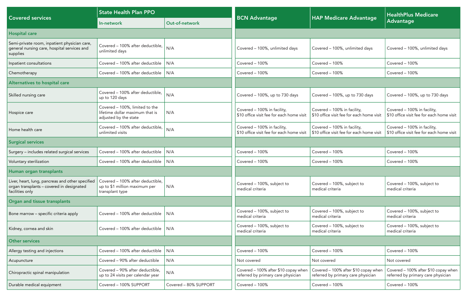|                                                                                                                  | <b>State Health Plan PPO</b>                                                               |                       |                                                                            |                                                                            | <b>HealthPlus Medicare</b>                                                 |  |  |
|------------------------------------------------------------------------------------------------------------------|--------------------------------------------------------------------------------------------|-----------------------|----------------------------------------------------------------------------|----------------------------------------------------------------------------|----------------------------------------------------------------------------|--|--|
| <b>Covered services</b>                                                                                          | In-network                                                                                 | Out-of-network        | <b>BCN Advantage</b>                                                       | <b>HAP Medicare Advantage</b>                                              | Advantage                                                                  |  |  |
| <b>Hospital care</b>                                                                                             |                                                                                            |                       |                                                                            |                                                                            |                                                                            |  |  |
| Semi-private room, inpatient physician care,<br>general nursing care, hospital services and<br>supplies          | Covered - 100% after deductible,  <br>unlimited days                                       | N/A                   | Covered - 100%, unlimited days                                             | Covered - 100%, unlimited days                                             | Covered - 100%, unlimited days                                             |  |  |
| Inpatient consultations                                                                                          | Covered - 100% after deductible                                                            | N/A                   | Covered - 100%                                                             | Covered - 100%                                                             | Covered - 100%                                                             |  |  |
| Chemotherapy                                                                                                     | Covered – 100% after deductible $  N/A$                                                    |                       | Covered - 100%                                                             | Covered - 100%                                                             | Covered - 100%                                                             |  |  |
| Alternatives to hospital care                                                                                    |                                                                                            |                       |                                                                            |                                                                            |                                                                            |  |  |
| Skilled nursing care                                                                                             | Covered - 100% after deductible,<br>up to 120 days                                         | N/A                   | Covered - 100%, up to 730 days                                             | Covered - 100%, up to 730 days                                             | Covered - 100%, up to 730 days                                             |  |  |
| Hospice care                                                                                                     | Covered - 100%, limited to the<br>lifetime dollar maximum that is<br>adjusted by the state | N/A                   | Covered - 100% in facility,<br>\$10 office visit fee for each home visit   | Covered - 100% in facility,<br>\$10 office visit fee for each home visit   | Covered - 100% in facility,<br>\$10 office visit fee for each home visit   |  |  |
| Home health care                                                                                                 | Covered - 100% after deductible,<br>unlimited visits                                       | N/A                   | Covered - 100% in facility,<br>\$10 office visit fee for each home visit   | Covered - 100% in facility,<br>\$10 office visit fee for each home visit   | Covered - 100% in facility,<br>\$10 office visit fee for each home visit   |  |  |
| <b>Surgical services</b>                                                                                         |                                                                                            |                       |                                                                            |                                                                            |                                                                            |  |  |
| Surgery - includes related surgical services                                                                     | Covered - 100% after deductible                                                            | N/A                   | Covered - 100%                                                             | Covered - 100%                                                             | Covered - 100%                                                             |  |  |
| Voluntary sterilization                                                                                          | Covered - 100% after deductible                                                            | N/A                   | Covered - 100%                                                             | Covered - 100%                                                             | Covered - 100%                                                             |  |  |
| Human organ transplants                                                                                          |                                                                                            |                       |                                                                            |                                                                            |                                                                            |  |  |
| Liver, heart, lung, pancreas and other specified<br>organ transplants - covered in designated<br>facilities only | Covered - 100% after deductible,<br>up to \$1 million maximum per<br>transplant type       | N/A                   | Covered - 100%, subject to<br>medical criteria                             | Covered - 100%, subject to<br>medical criteria                             | Covered - 100%, subject to<br>medical criteria                             |  |  |
| Organ and tissue transplants                                                                                     |                                                                                            |                       |                                                                            |                                                                            |                                                                            |  |  |
| Bone marrow - specific criteria apply                                                                            | Covered – 100% after deductible $ N/A $                                                    |                       | Covered - 100%, subject to<br>medical criteria                             | Covered - 100%, subject to<br>medical criteria                             | Covered - 100%, subject to<br>medical criteria                             |  |  |
| Kidney, cornea and skin                                                                                          | Covered – 100% after deductible $ N/A $                                                    |                       | Covered - 100%, subject to<br>medical criteria                             | Covered - 100%, subject to<br>medical criteria                             | Covered - 100%, subject to<br>medical criteria                             |  |  |
| <b>Other services</b>                                                                                            |                                                                                            |                       |                                                                            |                                                                            |                                                                            |  |  |
| Allergy testing and injections                                                                                   | Covered - 100% after deductible                                                            | N/A                   | Covered - 100%                                                             | Covered - 100%                                                             | Covered - 100%                                                             |  |  |
| Acupuncture                                                                                                      | Covered - 90% after deductible                                                             | N/A                   | Not covered                                                                | Not covered                                                                | Not covered                                                                |  |  |
| Chiropractic spinal manipulation                                                                                 | Covered - 90% after deductible,<br>up to 24 visits per calendar year                       | N/A                   | Covered - 100% after \$10 copay when<br>referred by primary care physician | Covered - 100% after \$10 copay when<br>referred by primary care physician | Covered - 100% after \$10 copay when<br>referred by primary care physician |  |  |
| Durable medical equipment                                                                                        | Covered - 100% SUPPORT                                                                     | Covered - 80% SUPPORT | Covered - 100%                                                             | Covered - 100%                                                             | Covered - 100%                                                             |  |  |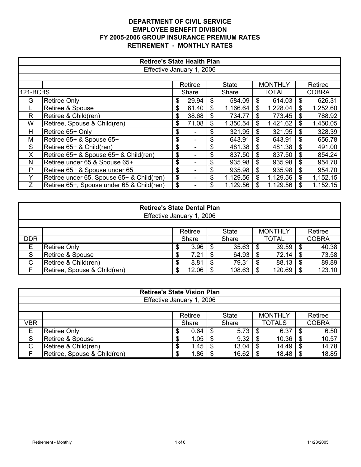|                 | <b>Retiree's State Health Plan</b>        |    |         |    |              |    |                |    |              |  |  |  |
|-----------------|-------------------------------------------|----|---------|----|--------------|----|----------------|----|--------------|--|--|--|
|                 | Effective January 1, 2006                 |    |         |    |              |    |                |    |              |  |  |  |
|                 |                                           |    |         |    |              |    |                |    |              |  |  |  |
|                 |                                           |    | Retiree |    | <b>State</b> |    | <b>MONTHLY</b> |    | Retiree      |  |  |  |
| <b>121-BCBS</b> |                                           |    | Share   |    | Share        |    | <b>TOTAL</b>   |    | <b>COBRA</b> |  |  |  |
| G               | <b>Retiree Only</b>                       | \$ | 29.94   | \$ | 584.09       | \$ | 614.03         | \$ | 626.31       |  |  |  |
|                 | Retiree & Spouse                          | \$ | 61.40   | \$ | 1,166.64     | \$ | 1,228.04       | \$ | 1,252.60     |  |  |  |
| R               | Retiree & Child(ren)                      | \$ | 38.68   | \$ | 734.77       | \$ | 773.45         | \$ | 788.92       |  |  |  |
| W               | Retiree, Spouse & Child(ren)              | \$ | 71.08   | \$ | 1,350.54     | \$ | 1,421.62       | \$ | 1,450.05     |  |  |  |
| H               | Retiree 65+ Only                          | \$ |         | \$ | 321.95       | \$ | 321.95         | \$ | 328.39       |  |  |  |
| М               | Retiree 65+ & Spouse 65+                  | \$ |         | \$ | 643.91       | \$ | 643.91         | \$ | 656.78       |  |  |  |
| S               | Retiree 65+ & Child(ren)                  | \$ |         | \$ | 481.38       | \$ | 481.38         | \$ | 491.00       |  |  |  |
| X               | Retiree 65+ & Spouse 65+ & Child(ren)     | \$ |         | \$ | 837.50       | \$ | 837.50         | \$ | 854.24       |  |  |  |
| N               | Retiree under 65 & Spouse 65+             | \$ |         | \$ | 935.98       | \$ | 935.98         | \$ | 954.70       |  |  |  |
| P               | Retiree 65+ & Spouse under 65             | \$ |         | \$ | 935.98       | \$ | 935.98         | \$ | 954.70       |  |  |  |
| Y               | Retiree under 65, Spouse 65+ & Child(ren) | \$ |         | \$ | 1,129.56     | \$ | 1,129.56       | \$ | 1,152.15     |  |  |  |
| Ζ               | Retiree 65+, Spouse under 65 & Child(ren) | \$ |         | \$ | 1,129.56     |    | 1,129.56       |    | 1,152.15     |  |  |  |

|            | <b>Retiree's State Dental Plan</b>                           |    |       |  |        |   |              |  |              |  |  |
|------------|--------------------------------------------------------------|----|-------|--|--------|---|--------------|--|--------------|--|--|
|            | Effective January 1, 2006                                    |    |       |  |        |   |              |  |              |  |  |
|            |                                                              |    |       |  |        |   |              |  |              |  |  |
|            | <b>MONTHLY</b><br>Retiree<br>Retiree<br><b>State</b>         |    |       |  |        |   |              |  |              |  |  |
| <b>DDR</b> |                                                              |    | Share |  | Share  |   | <b>TOTAL</b> |  | <b>COBRA</b> |  |  |
| Е          | <b>Retiree Only</b>                                          |    | 3.96  |  | 35.63  |   | 39.59        |  | 40.38        |  |  |
| S          | Retiree & Spouse                                             | ъĐ | 7.21  |  | 64.93  | S | 72.14        |  | 73.58        |  |  |
| C          | 89.89<br>Retiree & Child(ren)<br>79.31<br>88.13<br>8.81<br>S |    |       |  |        |   |              |  |              |  |  |
|            | Retiree, Spouse & Child(ren)                                 | S  | 12.06 |  | 108.63 |   | 120.69       |  | 123.10       |  |  |

|     | <b>Retiree's State Vision Plan</b>                                         |   |      |      |       |   |       |  |       |  |  |
|-----|----------------------------------------------------------------------------|---|------|------|-------|---|-------|--|-------|--|--|
|     | Effective January 1, 2006                                                  |   |      |      |       |   |       |  |       |  |  |
|     |                                                                            |   |      |      |       |   |       |  |       |  |  |
|     | <b>MONTHLY</b><br>Retiree<br><b>State</b><br>Retiree                       |   |      |      |       |   |       |  |       |  |  |
| VBR | <b>TOTALS</b><br><b>COBRA</b><br>Share<br>Share                            |   |      |      |       |   |       |  |       |  |  |
| Е   | Retiree Only                                                               |   | 0.64 | - \$ | 5.73  |   | 6.37  |  | 6.50  |  |  |
| S   | Retiree & Spouse                                                           |   | 1.05 |      | 9.32  | S | 10.36 |  | 10.57 |  |  |
| C   | 14.78<br>Retiree & Child(ren)<br>1.45<br>14.49<br>13.04<br>S<br>- \$<br>-S |   |      |      |       |   |       |  |       |  |  |
|     | Retiree, Spouse & Child(ren)                                               | S | 1.86 |      | 16.62 |   | 18.48 |  | 18.85 |  |  |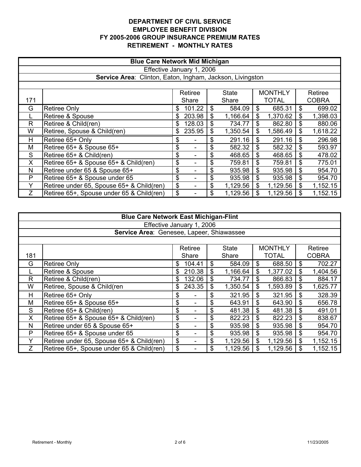|     | <b>Blue Care Network Mid Michigan</b>                                                |     |        |    |          |    |          |    |          |  |  |  |  |
|-----|--------------------------------------------------------------------------------------|-----|--------|----|----------|----|----------|----|----------|--|--|--|--|
|     | Effective January 1, 2006                                                            |     |        |    |          |    |          |    |          |  |  |  |  |
|     | Service Area: Clinton, Eaton, Ingham, Jackson, Livingston                            |     |        |    |          |    |          |    |          |  |  |  |  |
|     |                                                                                      |     |        |    |          |    |          |    |          |  |  |  |  |
|     | <b>MONTHLY</b><br>Retiree<br>Retiree<br>State                                        |     |        |    |          |    |          |    |          |  |  |  |  |
| 171 | <b>TOTAL</b><br><b>COBRA</b><br>Share<br>Share                                       |     |        |    |          |    |          |    |          |  |  |  |  |
| G   | 699.02<br>101.22<br>584.09<br>685.31<br><b>Retiree Only</b><br>\$<br>\$<br>\$<br>\$. |     |        |    |          |    |          |    |          |  |  |  |  |
|     | Retiree & Spouse                                                                     | \$. | 203.98 | \$ | 1,166.64 | \$ | 1,370.62 | \$ | 1,398.03 |  |  |  |  |
| R   | Retiree & Child(ren)                                                                 | \$  | 128.03 | \$ | 734.77   | \$ | 862.80   | \$ | 880.06   |  |  |  |  |
| W   | Retiree, Spouse & Child(ren)                                                         | \$  | 235.95 | \$ | 1,350.54 | \$ | 1,586.49 | \$ | 1,618.22 |  |  |  |  |
| H   | Retiree 65+ Only                                                                     | \$  |        | \$ | 291.16   | \$ | 291.16   | \$ | 296.98   |  |  |  |  |
| M   | Retiree 65+ & Spouse 65+                                                             | \$  |        | \$ | 582.32   | \$ | 582.32   | \$ | 593.97   |  |  |  |  |
| S   | Retiree 65+ & Child(ren)                                                             | \$  |        | \$ | 468.65   | \$ | 468.65   | \$ | 478.02   |  |  |  |  |
| X   | Retiree 65+ & Spouse 65+ & Child(ren)                                                | \$  |        | \$ | 759.81   | \$ | 759.81   | \$ | 775.01   |  |  |  |  |
| N   | Retiree under 65 & Spouse 65+                                                        | \$  |        | \$ | 935.98   | \$ | 935.98   | \$ | 954.70   |  |  |  |  |
| P   | \$<br>Retiree 65+ & Spouse under 65<br>935.98<br>\$<br>935.98<br>\$<br>\$<br>954.70  |     |        |    |          |    |          |    |          |  |  |  |  |
| Y   | Retiree under 65, Spouse 65+ & Child(ren)                                            | \$  |        | \$ | 1,129.56 | \$ | 1,129.56 | \$ | 1,152.15 |  |  |  |  |
| Z   | Retiree 65+, Spouse under 65 & Child(ren)                                            | \$  |        | \$ | 1,129.56 |    | 1,129.56 | \$ | 1,152.15 |  |  |  |  |

|     | <b>Blue Care Network East Michigan-Flint</b>                                           |                                                    |        |    |          |    |          |    |          |  |  |  |
|-----|----------------------------------------------------------------------------------------|----------------------------------------------------|--------|----|----------|----|----------|----|----------|--|--|--|
|     | Effective January 1, 2006                                                              |                                                    |        |    |          |    |          |    |          |  |  |  |
|     | Service Area: Genesee, Lapeer, Shiawassee                                              |                                                    |        |    |          |    |          |    |          |  |  |  |
|     |                                                                                        |                                                    |        |    |          |    |          |    |          |  |  |  |
|     | <b>MONTHLY</b><br>Retiree<br>State<br>Retiree                                          |                                                    |        |    |          |    |          |    |          |  |  |  |
| 181 | <b>TOTAL</b><br><b>COBRA</b><br>Share<br>Share                                         |                                                    |        |    |          |    |          |    |          |  |  |  |
| G   | <b>Retiree Only</b>                                                                    | S                                                  | 104.41 | \$ | 584.09   | \$ | 688.50   | S  | 702.27   |  |  |  |
|     | 210.38<br>1,404.56<br>\$<br>1,166.64<br>\$<br>1,377.02<br>Retiree & Spouse<br>\$<br>\$ |                                                    |        |    |          |    |          |    |          |  |  |  |
| R   | Retiree & Child(ren)                                                                   | 866.83<br>132.06<br>\$<br>734.77<br>\$<br>\$<br>\$ |        |    |          |    |          |    | 884.17   |  |  |  |
| W   | Retiree, Spouse & Child(ren                                                            | \$                                                 | 243.35 | \$ | 1,350.54 | \$ | 1,593.89 | \$ | 1,625.77 |  |  |  |
| H.  | Retiree 65+ Only                                                                       | \$                                                 |        | \$ | 321.95   | \$ | 321.95   | \$ | 328.39   |  |  |  |
| M   | Retiree 65+ & Spouse 65+                                                               | \$                                                 |        | \$ | 643.91   | \$ | 643.90   | \$ | 656.78   |  |  |  |
| S   | Retiree 65+ & Child(ren)                                                               | \$                                                 |        | \$ | 481.38   | \$ | 481.38   | \$ | 491.01   |  |  |  |
| X.  | Retiree 65+ & Spouse 65+ & Child(ren)                                                  | \$                                                 |        | \$ | 822.23   | \$ | 822.23   | \$ | 838.67   |  |  |  |
| N   | Retiree under 65 & Spouse 65+                                                          | \$                                                 |        | \$ | 935.98   | \$ | 935.98   | \$ | 954.70   |  |  |  |
| P   | \$<br>Retiree 65+ & Spouse under 65<br>\$<br>\$<br>\$<br>954.70<br>935.98<br>935.98    |                                                    |        |    |          |    |          |    |          |  |  |  |
| Y   | Retiree under 65, Spouse 65+ & Child(ren)                                              | \$                                                 |        | \$ | 1,129.56 | \$ | 1,129.56 | \$ | 1,152.15 |  |  |  |
| Ζ   | Retiree 65+, Spouse under 65 & Child(ren)                                              | \$                                                 |        | \$ | 1,129.56 |    | 1,129.56 |    | 1,152.15 |  |  |  |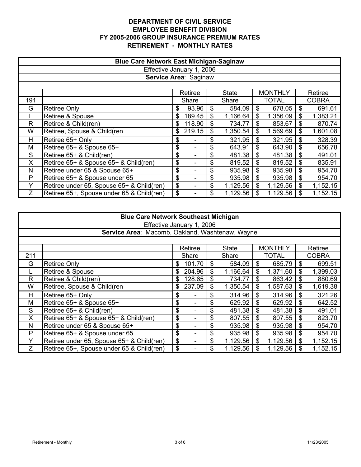|     | <b>Blue Care Network East Michigan-Saginaw</b> |    |         |    |              |    |                |    |          |  |  |
|-----|------------------------------------------------|----|---------|----|--------------|----|----------------|----|----------|--|--|
|     | Effective January 1, 2006                      |    |         |    |              |    |                |    |          |  |  |
|     | Service Area: Saginaw                          |    |         |    |              |    |                |    |          |  |  |
|     |                                                |    |         |    |              |    |                |    |          |  |  |
|     |                                                |    | Retiree |    | <b>State</b> |    | <b>MONTHLY</b> |    | Retiree  |  |  |
| 191 | <b>TOTAL</b><br><b>COBRA</b><br>Share<br>Share |    |         |    |              |    |                |    |          |  |  |
| G   | <b>Retiree Only</b>                            | \$ | 93.96   | \$ | 584.09       | \$ | 678.05         | \$ | 691.61   |  |  |
|     | Retiree & Spouse                               | \$ | 189.45  | \$ | 1,166.64     | \$ | 1,356.09       | \$ | 1,383.21 |  |  |
| R.  | Retiree & Child(ren)                           | \$ | 118.90  | \$ | 734.77       | \$ | 853.67         | \$ | 870.74   |  |  |
| W   | Retiree, Spouse & Child(ren                    | \$ | 219.15  | \$ | 1,350.54     | \$ | 1,569.69       | \$ | 1,601.08 |  |  |
| H   | Retiree 65+ Only                               | \$ |         | \$ | 321.95       | \$ | 321.95         | \$ | 328.39   |  |  |
| M   | Retiree 65+ & Spouse 65+                       | \$ |         | \$ | 643.91       | \$ | 643.90         | \$ | 656.78   |  |  |
| S   | Retiree 65+ & Child(ren)                       | \$ | -       | \$ | 481.38       | \$ | 481.38         | \$ | 491.01   |  |  |
| X   | Retiree 65+ & Spouse 65+ & Child(ren)          | \$ |         | \$ | 819.52       | \$ | 819.52         | \$ | 835.91   |  |  |
| N   | Retiree under 65 & Spouse 65+                  | \$ |         | \$ | 935.98       | \$ | 935.98         | \$ | 954.70   |  |  |
| P   | Retiree 65+ & Spouse under 65                  | \$ |         | \$ | 935.98       | \$ | 935.98         | \$ | 954.70   |  |  |
| Υ   | Retiree under 65, Spouse 65+ & Child(ren)      | \$ |         | \$ | 1,129.56     | \$ | 1,129.56       | \$ | 1,152.15 |  |  |
| Ζ   | Retiree 65+, Spouse under 65 & Child(ren)      | \$ |         | \$ | 1,129.56     |    | 1,129.56       |    | 1,152.15 |  |  |

|     | <b>Blue Care Network Southeast Michigan</b>                                         |     |         |    |              |    |                |    |              |  |  |
|-----|-------------------------------------------------------------------------------------|-----|---------|----|--------------|----|----------------|----|--------------|--|--|
|     | Effective January 1, 2006                                                           |     |         |    |              |    |                |    |              |  |  |
|     | Service Area: Macomb, Oakland, Washtenaw, Wayne                                     |     |         |    |              |    |                |    |              |  |  |
|     |                                                                                     |     |         |    |              |    |                |    |              |  |  |
|     |                                                                                     |     | Retiree |    | <b>State</b> |    | <b>MONTHLY</b> |    | Retiree      |  |  |
| 211 |                                                                                     |     | Share   |    | Share        |    | <b>TOTAL</b>   |    | <b>COBRA</b> |  |  |
| G   | <b>Retiree Only</b>                                                                 | \$. | 101.70  | \$ | 584.09       | \$ | 685.79         | S  | 699.51       |  |  |
|     | Retiree & Spouse                                                                    | \$. | 204.96  | \$ | 1,166.64     | \$ | 1,371.60       | \$ | 1,399.03     |  |  |
| R   | Retiree & Child(ren)                                                                | \$  | 128.65  | \$ | 734.77       | \$ | 863.42         | \$ | 880.69       |  |  |
| W   | Retiree, Spouse & Child(ren                                                         | \$  | 237.09  | \$ | 1,350.54     | \$ | 1,587.63       | \$ | 1,619.38     |  |  |
| Н   | Retiree 65+ Only                                                                    | \$  |         | \$ | 314.96       | \$ | 314.96         | \$ | 321.26       |  |  |
| M   | Retiree 65+ & Spouse 65+                                                            | \$  |         | \$ | 629.92       | \$ | 629.92         | S  | 642.52       |  |  |
| S   | Retiree 65+ & Child(ren)                                                            | \$  |         | \$ | 481.38       | \$ | 481.38         | \$ | 491.01       |  |  |
| X   | Retiree 65+ & Spouse 65+ & Child(ren)                                               | \$  |         | \$ | 807.55       | \$ | 807.55         | \$ | 823.70       |  |  |
| N   | Retiree under 65 & Spouse 65+                                                       | \$  |         | \$ | 935.98       | \$ | 935.98         | \$ | 954.70       |  |  |
| P   | \$<br>\$<br>954.70<br>Retiree 65+ & Spouse under 65<br>\$<br>\$<br>935.98<br>935.98 |     |         |    |              |    |                |    |              |  |  |
| Υ   | Retiree under 65, Spouse 65+ & Child(ren)                                           | \$  |         | \$ | 1,129.56     | \$ | 1,129.56       | \$ | 1,152.15     |  |  |
| Z   | Retiree 65+, Spouse under 65 & Child(ren)                                           | \$  |         | \$ | 1,129.56     |    | 1,129.56       |    | 1,152.15     |  |  |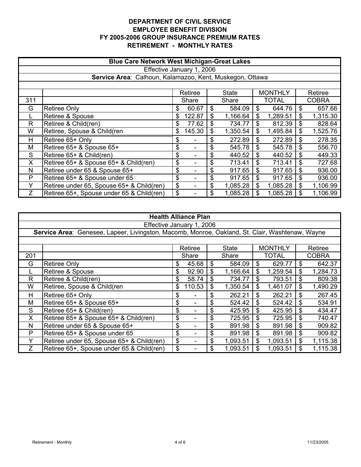|     | <b>Blue Care Network West Michigan-Great Lakes</b>                                     |    |        |    |          |    |          |    |          |  |  |  |  |
|-----|----------------------------------------------------------------------------------------|----|--------|----|----------|----|----------|----|----------|--|--|--|--|
|     | Effective January 1, 2006                                                              |    |        |    |          |    |          |    |          |  |  |  |  |
|     |                                                                                        |    |        |    |          |    |          |    |          |  |  |  |  |
|     | Service Area: Calhoun, Kalamazoo, Kent, Muskegon, Ottawa                               |    |        |    |          |    |          |    |          |  |  |  |  |
|     |                                                                                        |    |        |    |          |    |          |    |          |  |  |  |  |
|     | <b>MONTHLY</b><br>Retiree<br>Retiree<br><b>State</b>                                   |    |        |    |          |    |          |    |          |  |  |  |  |
| 311 | TOTAL<br><b>COBRA</b><br>Share<br>Share                                                |    |        |    |          |    |          |    |          |  |  |  |  |
| G   | 60.67<br>584.09<br>644.76<br>657.66<br><b>Retiree Only</b><br>\$<br>S<br>\$<br>\$      |    |        |    |          |    |          |    |          |  |  |  |  |
|     | \$<br>\$<br>1,289.51<br>\$<br>Retiree & Spouse<br>122.87<br>1,166.64<br>1,315.30<br>\$ |    |        |    |          |    |          |    |          |  |  |  |  |
| R   | Retiree & Child(ren)                                                                   | \$ | 77.62  |    | 734.77   | \$ | 812.39   | \$ | 828.64   |  |  |  |  |
| W   | Retiree, Spouse & Child(ren                                                            | \$ | 145.30 | \$ | 1,350.54 | \$ | 1,495.84 | \$ | 1,525.76 |  |  |  |  |
| H   | Retiree 65+ Only                                                                       | \$ |        | \$ | 272.89   | \$ | 272.89   | \$ | 278.35   |  |  |  |  |
| M   | Retiree 65+ & Spouse 65+                                                               | \$ |        | \$ | 545.78   | \$ | 545.78   | \$ | 556.70   |  |  |  |  |
| S   | Retiree 65+ & Child(ren)                                                               | \$ |        | \$ | 440.52   | \$ | 440.52   | \$ | 449.33   |  |  |  |  |
| X   | Retiree 65+ & Spouse 65+ & Child(ren)                                                  | \$ |        | \$ | 713.41   | \$ | 713.41   | \$ | 727.68   |  |  |  |  |
| N   | Retiree under 65 & Spouse 65+                                                          | \$ |        | \$ | 917.65   | \$ | 917.65   | \$ | 936.00   |  |  |  |  |
| P   | Retiree 65+ & Spouse under 65                                                          | \$ |        | \$ | 917.65   | \$ | 917.65   | \$ | 936.00   |  |  |  |  |
|     | Retiree under 65, Spouse 65+ & Child(ren)                                              | \$ |        | \$ | 1,085.28 | \$ | 1,085.28 | \$ | 1,106.99 |  |  |  |  |
| Z   | Retiree 65+, Spouse under 65 & Child(ren)                                              | \$ |        |    | 1,085.28 |    | 1,085.28 | \$ | 1,106.99 |  |  |  |  |

| <b>Health Alliance Plan</b>                                                                     |                                           |    |         |    |              |    |                |              |          |  |
|-------------------------------------------------------------------------------------------------|-------------------------------------------|----|---------|----|--------------|----|----------------|--------------|----------|--|
| Effective January 1, 2006                                                                       |                                           |    |         |    |              |    |                |              |          |  |
| Service Area: Genesee, Lapeer, Livingston, Macomb, Monroe, Oakland, St. Clair, Washtenaw, Wayne |                                           |    |         |    |              |    |                |              |          |  |
|                                                                                                 |                                           |    |         |    |              |    |                |              |          |  |
|                                                                                                 |                                           |    | Retiree |    | <b>State</b> |    | <b>MONTHLY</b> |              | Retiree  |  |
| 201                                                                                             |                                           |    | Share   |    | Share        |    | <b>TOTAL</b>   | <b>COBRA</b> |          |  |
| G                                                                                               | <b>Retiree Only</b>                       | \$ | 45.68   | \$ | 584.09       | S  | 629.77         | \$           | 642.37   |  |
|                                                                                                 | Retiree & Spouse                          | \$ | 92.90   | \$ | 1,166.64     | \$ | 1,259.54       | \$           | 1,284.73 |  |
| R                                                                                               | Retiree & Child(ren)                      | \$ | 58.74   | \$ | 734.77       | \$ | 793.51         | \$           | 809.38   |  |
| W                                                                                               | Retiree, Spouse & Child(ren               | \$ | 110.53  | \$ | 1,350.54     | \$ | 1,461.07       | \$           | 1,490.29 |  |
| H.                                                                                              | Retiree 65+ Only                          | \$ |         | \$ | 262.21       | \$ | 262.21         | \$           | 267.45   |  |
| M                                                                                               | Retiree 65+ & Spouse 65+                  | \$ |         | \$ | 524.42       | \$ | 524.42         | \$           | 534.91   |  |
| S                                                                                               | Retiree 65+ & Child(ren)                  | \$ |         | \$ | 425.95       | \$ | 425.95         | \$.          | 434.47   |  |
| X                                                                                               | Retiree 65+ & Spouse 65+ & Child(ren)     | \$ |         | \$ | 725.95       | \$ | 725.95         | \$           | 740.47   |  |
| N                                                                                               | Retiree under 65 & Spouse 65+             | \$ |         | \$ | 891.98       | \$ | 891.98         | \$           | 909.82   |  |
| P                                                                                               | Retiree 65+ & Spouse under 65             | \$ |         | \$ | 891.98       | \$ | 891.98         | \$           | 909.82   |  |
| Y                                                                                               | Retiree under 65, Spouse 65+ & Child(ren) | \$ |         | \$ | 1,093.51     | \$ | 1,093.51       | \$           | 1,115.38 |  |
| Ζ                                                                                               | Retiree 65+, Spouse under 65 & Child(ren) | \$ |         | \$ | 1,093.51     | \$ | 1,093.51       | \$           | 1,115.38 |  |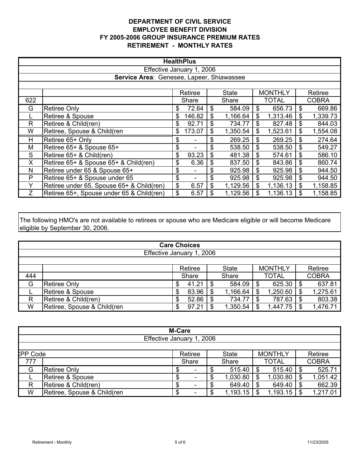| <b>HealthPlus</b>                         |                                                      |    |        |    |          |    |              |    |              |  |
|-------------------------------------------|------------------------------------------------------|----|--------|----|----------|----|--------------|----|--------------|--|
| Effective January 1, 2006                 |                                                      |    |        |    |          |    |              |    |              |  |
| Service Area: Genesee, Lapeer, Shiawassee |                                                      |    |        |    |          |    |              |    |              |  |
|                                           |                                                      |    |        |    |          |    |              |    |              |  |
|                                           | <b>MONTHLY</b><br>Retiree<br>Retiree<br><b>State</b> |    |        |    |          |    |              |    |              |  |
| 622                                       |                                                      |    | Share  |    | Share    |    | <b>TOTAL</b> |    | <b>COBRA</b> |  |
| G                                         | <b>Retiree Only</b>                                  | \$ | 72.64  | \$ | 584.09   | \$ | 656.73       | \$ | 669.86       |  |
|                                           | Retiree & Spouse                                     | \$ | 146.82 | \$ | 1,166.64 | \$ | 1,313.46     | \$ | 1,339.73     |  |
| R.                                        | Retiree & Child(ren)                                 | \$ | 92.71  | \$ | 734.77   | \$ | 827.48       | \$ | 844.03       |  |
| W                                         | Retiree, Spouse & Child(ren                          | \$ | 173.07 | \$ | 1,350.54 | \$ | 1,523.61     | \$ | 1,554.08     |  |
| H                                         | Retiree 65+ Only                                     | \$ |        | \$ | 269.25   | \$ | 269.25       | \$ | 274.64       |  |
| M                                         | Retiree 65+ & Spouse 65+                             | \$ |        | \$ | 538.50   | \$ | 538.50       | \$ | 549.27       |  |
| S                                         | Retiree 65+ & Child(ren)                             | \$ | 93.23  | \$ | 481.38   | \$ | 574.61       | \$ | 586.10       |  |
| X                                         | Retiree 65+ & Spouse 65+ & Child(ren)                | \$ | 6.36   | \$ | 837.50   | \$ | 843.86       | \$ | 860.74       |  |
| N                                         | Retiree under 65 & Spouse 65+                        | \$ |        | \$ | 925.98   | \$ | 925.98       | \$ | 944.50       |  |
| P                                         | Retiree 65+ & Spouse under 65                        | \$ |        | \$ | 925.98   | \$ | 925.98       | \$ | 944.50       |  |
| Υ                                         | Retiree under 65, Spouse 65+ & Child(ren)            | \$ | 6.57   | \$ | 1,129.56 | \$ | 1,136.13     | \$ | 1,158.85     |  |
| Ζ                                         | Retiree 65+, Spouse under 65 & Child(ren)            | \$ | 6.57   |    | 1,129.56 | S  | 1,136.13     | \$ | 1,158.85     |  |

The following HMO's are not available to retirees or spouse who are Medicare eligible or will become Medicare eligible by September 30, 2006.

| <b>Care Choices</b>       |                             |                                           |       |       |          |              |          |              |          |  |
|---------------------------|-----------------------------|-------------------------------------------|-------|-------|----------|--------------|----------|--------------|----------|--|
| Effective January 1, 2006 |                             |                                           |       |       |          |              |          |              |          |  |
|                           |                             |                                           |       |       |          |              |          |              |          |  |
|                           |                             | <b>MONTHLY</b><br>Retiree<br><b>State</b> |       |       |          |              |          | Retiree      |          |  |
| 444                       |                             | Share                                     |       | Share |          | <b>TOTAL</b> |          | <b>COBRA</b> |          |  |
| G                         | Retiree Only                |                                           | 41.21 |       | 584.09   | S            | 625.30   |              | 637.81   |  |
|                           | Retiree & Spouse            | S                                         | 83.96 |       | 1,166.64 | S            | 1,250.60 | S            | 1,275.61 |  |
| R                         | Retiree & Child(ren)        | S                                         | 52.86 |       | 734.77   | \$.          | 787.63   | S            | 803.38   |  |
| W                         | Retiree, Spouse & Child(ren | S                                         | 97.21 |       | 1,350.54 |              | 1,447.75 |              | 1,476.71 |  |

|                 | <b>M-Care</b>               |        |         |       |              |              |                |              |          |  |
|-----------------|-----------------------------|--------|---------|-------|--------------|--------------|----------------|--------------|----------|--|
|                 | Effective January 1, 2006   |        |         |       |              |              |                |              |          |  |
|                 |                             |        |         |       |              |              |                |              |          |  |
| <b>CPP Code</b> |                             |        | Retiree |       | <b>State</b> |              | <b>MONTHLY</b> |              | Retiree  |  |
| 777             |                             |        | Share   | Share |              | <b>TOTAL</b> |                | <b>COBRA</b> |          |  |
| G               | <b>Retiree Only</b>         | Φ      |         |       | 515.40       |              | 515.40         | \$           | 525.71   |  |
|                 | <b>Retiree &amp; Spouse</b> | c<br>J |         |       | 1,030.80     |              | 1,030.80       | S            | 1,051.42 |  |
|                 | Retiree & Child(ren)        | \$     |         |       | 649.40       |              | 649.40         | S            | 662.39   |  |
| W               | Retiree, Spouse & Child(ren | c<br>æ |         |       | 1,193.15     |              | 1,193.15       |              | 1,217.01 |  |